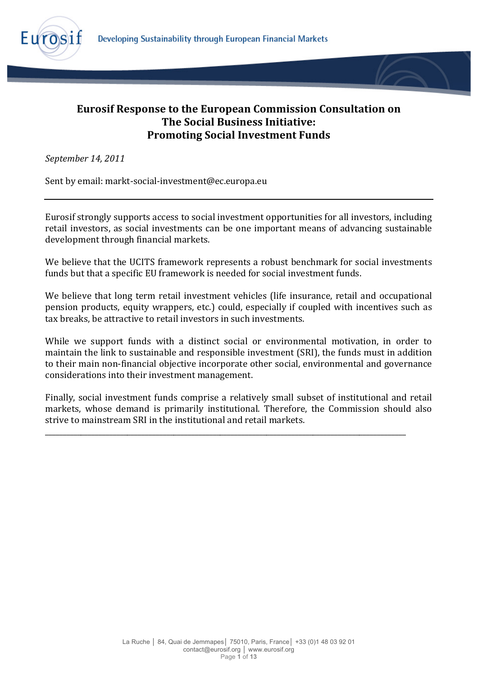

# **Eurosif Response to the European Commission Consultation on The Social Business Initiative: Promoting Social Investment Funds**

*September!14,!2011*

Sent by email: markt-social-investment@ec.europa.eu

Eurosif strongly supports access to social investment opportunities for all investors, including retail investors, as social investments can be one important means of advancing sustainable development through financial markets.

We believe that the UCITS framework represents a robust benchmark for social investments funds but that a specific EU framework is needed for social investment funds.

We believe that long term retail investment vehicles (life insurance, retail and occupational pension products, equity wrappers, etc.) could, especially if coupled with incentives such as tax breaks, be attractive to retail investors in such investments.

While we support funds with a distinct social or environmental motivation, in order to maintain the link to sustainable and responsible investment (SRI), the funds must in addition to their main non-financial objective incorporate other social, environmental and governance considerations into their investment management.

Finally, social investment funds comprise a relatively small subset of institutional and retail markets, whose demand is primarily institutional. Therefore, the Commission should also strive to mainstream SRI in the institutional and retail markets.

\_\_\_\_\_\_\_\_\_\_\_\_\_\_\_\_\_\_\_\_\_\_\_\_\_\_\_\_\_\_\_\_\_\_\_\_\_\_\_\_\_\_\_\_\_\_\_\_\_\_\_\_\_\_\_\_\_\_\_\_\_\_\_\_\_\_\_\_\_\_\_\_\_\_\_\_\_\_\_\_\_\_\_\_\_\_\_\_\_\_\_\_\_\_\_\_\_\_\_\_\_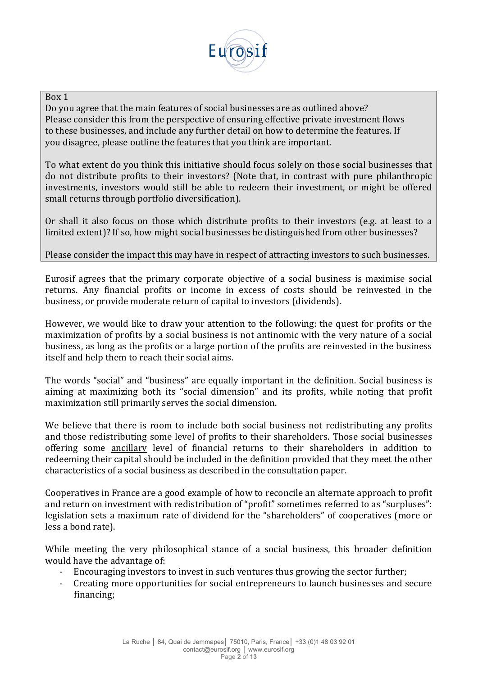

## Box 1

Do you agree that the main features of social businesses are as outlined above? Please consider this from the perspective of ensuring effective private investment flows to these businesses, and include any further detail on how to determine the features. If you disagree, please outline the features that you think are important.

To what extent do you think this initiative should focus solely on those social businesses that do not distribute profits to their investors? (Note that, in contrast with pure philanthropic investments, investors would still be able to redeem their investment, or might be offered small returns through portfolio diversification).

Or shall it also focus on those which distribute profits to their investors (e.g. at least to a limited extent)? If so, how might social businesses be distinguished from other businesses?

### Please consider the impact this may have in respect of attracting investors to such businesses.

Eurosif agrees that the primary corporate objective of a social business is maximise social returns. Any financial profits or income in excess of costs should be reinvested in the business, or provide moderate return of capital to investors (dividends).

However, we would like to draw your attention to the following: the quest for profits or the maximization of profits by a social business is not antinomic with the very nature of a social business, as long as the profits or a large portion of the profits are reinvested in the business itself and help them to reach their social aims.

The words "social" and "business" are equally important in the definition. Social business is aiming at maximizing both its "social dimension" and its profits, while noting that profit maximization still primarily serves the social dimension.

We believe that there is room to include both social business not redistributing any profits and those redistributing some level of profits to their shareholders. Those social businesses offering some ancillary level of financial returns to their shareholders in addition to redeeming their capital should be included in the definition provided that they meet the other characteristics of a social business as described in the consultation paper.

Cooperatives in France are a good example of how to reconcile an alternate approach to profit and return on investment with redistribution of "profit" sometimes referred to as "surpluses": legislation sets a maximum rate of dividend for the "shareholders" of cooperatives (more or less a bond rate).

While meeting the very philosophical stance of a social business, this broader definition would have the advantage of:

- Encouraging investors to invest in such ventures thus growing the sector further;
- Creating more opportunities for social entrepreneurs to launch businesses and secure financing;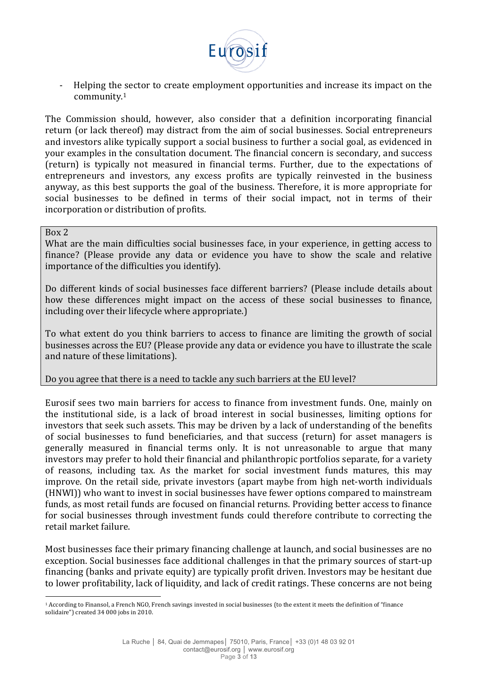

- Helping the sector to create employment opportunities and increase its impact on the community.1

The Commission should, however, also consider that a definition incorporating financial return (or lack thereof) may distract from the aim of social businesses. Social entrepreneurs and investors alike typically support a social business to further a social goal, as evidenced in your examples in the consultation document. The financial concern is secondary, and success (return) is typically not measured in financial terms. Further, due to the expectations of entrepreneurs and investors, any excess profits are typically reinvested in the business anyway, as this best supports the goal of the business. Therefore, it is more appropriate for social businesses to be defined in terms of their social impact, not in terms of their incorporation or distribution of profits.

#### Box 2

!!!!!!!!!!!!!!!!!!!!!!!!!!!!!!!!!!!!!!!!!!!!!!!!!!!!!!!

What are the main difficulties social businesses face, in your experience, in getting access to finance? (Please provide any data or evidence you have to show the scale and relative importance of the difficulties you identify).

Do different kinds of social businesses face different barriers? (Please include details about how these differences might impact on the access of these social businesses to finance, including over their lifecycle where appropriate.)

To what extent do you think barriers to access to finance are limiting the growth of social businesses across the EU? (Please provide any data or evidence you have to illustrate the scale and nature of these limitations).

## Do you agree that there is a need to tackle any such barriers at the EU level?

Eurosif sees two main barriers for access to finance from investment funds. One, mainly on the institutional side, is a lack of broad interest in social businesses, limiting options for investors that seek such assets. This may be driven by a lack of understanding of the benefits of social businesses to fund beneficiaries, and that success (return) for asset managers is generally measured in financial terms only. It is not unreasonable to argue that many investors may prefer to hold their financial and philanthropic portfolios separate, for a variety of reasons, including tax. As the market for social investment funds matures, this may improve. On the retail side, private investors (apart maybe from high net-worth individuals (HNWI)) who want to invest in social businesses have fewer options compared to mainstream funds, as most retail funds are focused on financial returns. Providing better access to finance for social businesses through investment funds could therefore contribute to correcting the retail market failure.

Most businesses face their primary financing challenge at launch, and social businesses are no exception. Social businesses face additional challenges in that the primary sources of start-up financing (banks and private equity) are typically profit driven. Investors may be hesitant due to lower profitability, lack of liquidity, and lack of credit ratings. These concerns are not being

<sup>&</sup>lt;sup>1</sup> According to Finansol, a French NGO, French savings invested in social businesses (to the extent it meets the definition of "finance solidaire")  $\overline{c}$  reated 34 000 jobs in 2010.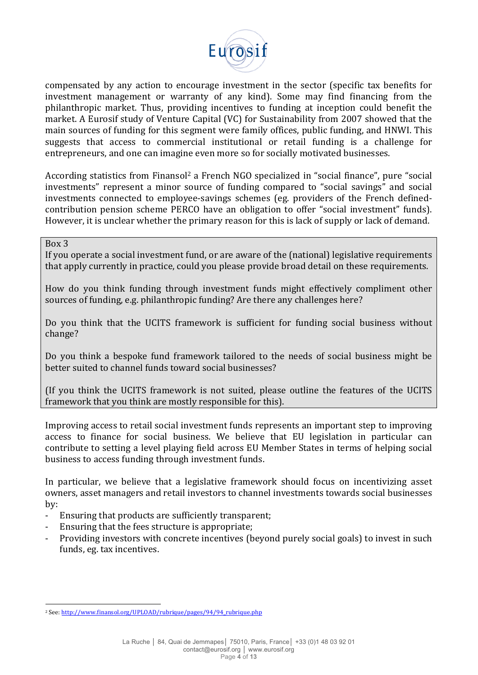

compensated by any action to encourage investment in the sector (specific tax benefits for investment management or warranty of any kind). Some may find financing from the philanthropic market. Thus, providing incentives to funding at inception could benefit the market. A Eurosif study of Venture Capital (VC) for Sustainability from 2007 showed that the main sources of funding for this segment were family offices, public funding, and HNWI. This suggests that access to commercial institutional or retail funding is a challenge for entrepreneurs, and one can imagine even more so for socially motivated businesses.

According statistics from Finansol<sup>2</sup> a French NGO specialized in "social finance", pure "social investments" represent a minor source of funding compared to "social savings" and social investments connected to employee-savings schemes (eg. providers of the French definedcontribution pension scheme PERCO have an obligation to offer "social investment" funds). However, it is unclear whether the primary reason for this is lack of supply or lack of demand.

# $Box$ 3

If you operate a social investment fund, or are aware of the (national) legislative requirements that apply currently in practice, could you please provide broad detail on these requirements.

How do you think funding through investment funds might effectively compliment other sources of funding, e.g. philanthropic funding? Are there any challenges here?

Do you think that the UCITS framework is sufficient for funding social business without change?

Do you think a bespoke fund framework tailored to the needs of social business might be better suited to channel funds toward social businesses?

(If you think the UCITS framework is not suited, please outline the features of the UCITS framework that you think are mostly responsible for this).

Improving access to retail social investment funds represents an important step to improving access to finance for social business. We believe that EU legislation in particular can contribute to setting a level playing field across EU Member States in terms of helping social business to access funding through investment funds.

In particular, we believe that a legislative framework should focus on incentivizing asset owners, asset managers and retail investors to channel investments towards social businesses by:

- Ensuring that products are sufficiently transparent;
- Ensuring that the fees structure is appropriate;
- Providing investors with concrete incentives (beyond purely social goals) to invest in such funds, eg. tax incentives.

!!!!!!!!!!!!!!!!!!!!!!!!!!!!!!!!!!!!!!!!!!!!!!!!!!!!!!!

<sup>&</sup>lt;sup>2</sup> See: http://www.finansol.org/UPLOAD/rubrique/pages/94/94\_rubrique.php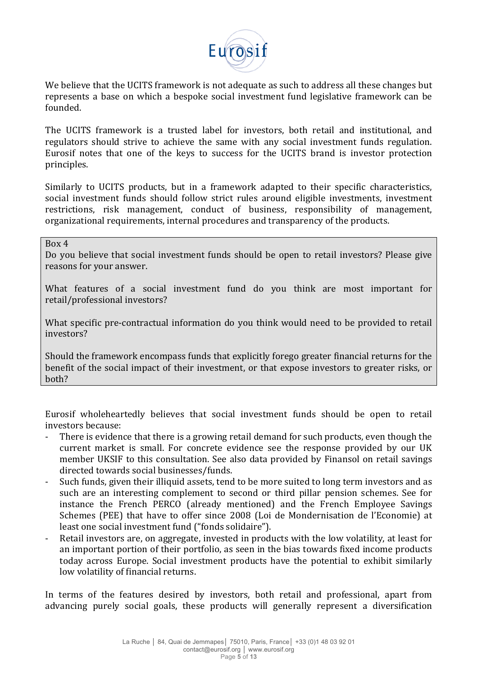

We believe that the UCITS framework is not adequate as such to address all these changes but represents a base on which a bespoke social investment fund legislative framework can be founded.

The UCITS framework is a trusted label for investors, both retail and institutional, and regulators should strive to achieve the same with any social investment funds regulation. Eurosif notes that one of the keys to success for the UCITS brand is investor protection principles.!

Similarly to UCITS products, but in a framework adapted to their specific characteristics, social investment funds should follow strict rules around eligible investments, investment restrictions, risk management, conduct of business, responsibility of management, organizational requirements, internal procedures and transparency of the products.

Box!4

Do you believe that social investment funds should be open to retail investors? Please give reasons for your answer.

What features of a social investment fund do you think are most important for retail/professional investors?

What specific pre-contractual information do you think would need to be provided to retail investors?

Should the framework encompass funds that explicitly forego greater financial returns for the benefit of the social impact of their investment, or that expose investors to greater risks, or both?

Eurosif wholeheartedly believes that social investment funds should be open to retail investors because:

- There is evidence that there is a growing retail demand for such products, even though the current market is small. For concrete evidence see the response provided by our UK member UKSIF to this consultation. See also data provided by Finansol on retail savings directed towards social businesses/funds.
- Such funds, given their illiquid assets, tend to be more suited to long term investors and as such are an interesting complement to second or third pillar pension schemes. See for instance the French PERCO (already mentioned) and the French Employee Savings Schemes (PEE) that have to offer since 2008 (Loi de Mondernisation de l'Economie) at least one social investment fund ("fonds solidaire").
- Retail investors are, on aggregate, invested in products with the low volatility, at least for an important portion of their portfolio, as seen in the bias towards fixed income products today across Europe. Social investment products have the potential to exhibit similarly low volatility of financial returns.

In terms of the features desired by investors, both retail and professional, apart from advancing purely social goals, these products will generally represent a diversification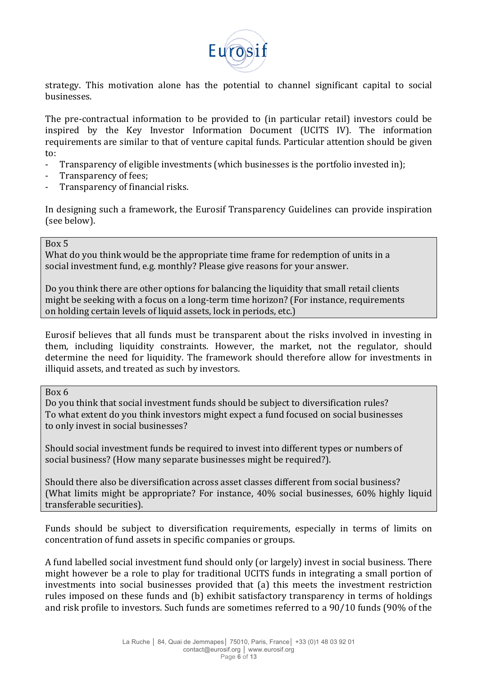

strategy. This motivation alone has the potential to channel significant capital to social businesses.

The pre-contractual information to be provided to (in particular retail) investors could be inspired by the Key Investor Information Document (UCITS IV). The information requirements are similar to that of venture capital funds. Particular attention should be given to:

- Transparency of eligible investments (which businesses is the portfolio invested in);
- Transparency of fees;
- Transparency of financial risks.

In designing such a framework, the Eurosif Transparency Guidelines can provide inspiration (see below).

### Box!5

What do you think would be the appropriate time frame for redemption of units in a social investment fund, e.g. monthly? Please give reasons for your answer.

Do you think there are other options for balancing the liquidity that small retail clients might be seeking with a focus on a long-term time horizon? (For instance, requirements on holding certain levels of liquid assets, lock in periods, etc.)

Eurosif believes that all funds must be transparent about the risks involved in investing in them, including liquidity constraints. However, the market, not the regulator, should determine the need for liquidity. The framework should therefore allow for investments in illiquid assets, and treated as such by investors.

Box!6

Do you think that social investment funds should be subject to diversification rules? To what extent do you think investors might expect a fund focused on social businesses to only invest in social businesses?

Should social investment funds be required to invest into different types or numbers of social business? (How many separate businesses might be required?).

Should there also be diversification across asset classes different from social business? (What limits might be appropriate? For instance,  $40\%$  social businesses,  $60\%$  highly liquid transferable securities).

Funds should be subject to diversification requirements, especially in terms of limits on concentration of fund assets in specific companies or groups.

A fund labelled social investment fund should only (or largely) invest in social business. There might however be a role to play for traditional UCITS funds in integrating a small portion of investments into social businesses provided that (a) this meets the investment restriction rules imposed on these funds and (b) exhibit satisfactory transparency in terms of holdings and risk profile to investors. Such funds are sometimes referred to a 90/10 funds (90% of the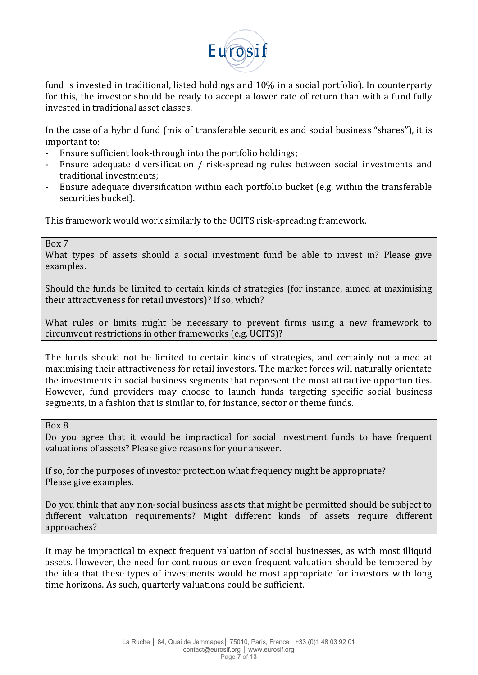

fund is invested in traditional, listed holdings and 10% in a social portfolio). In counterparty for this, the investor should be ready to accept a lower rate of return than with a fund fully invested in traditional asset classes.

In the case of a hybrid fund (mix of transferable securities and social business "shares"), it is important to:

- Ensure sufficient look-through into the portfolio holdings;
- Ensure adequate diversification / risk-spreading rules between social investments and traditional investments:
- Ensure adequate diversification within each portfolio bucket (e.g. within the transferable securities bucket).

This framework would work similarly to the UCITS risk-spreading framework.

# Box 7

What types of assets should a social investment fund be able to invest in? Please give examples.

Should the funds be limited to certain kinds of strategies (for instance, aimed at maximising their attractiveness for retail investors)? If so, which?

What rules or limits might be necessary to prevent firms using a new framework to circumvent restrictions in other frameworks (e.g. UCITS)?

The funds should not be limited to certain kinds of strategies, and certainly not aimed at maximising their attractiveness for retail investors. The market forces will naturally orientate the investments in social business segments that represent the most attractive opportunities. However, fund providers may choose to launch funds targeting specific social business segments, in a fashion that is similar to, for instance, sector or theme funds.

### Box!8

Do you agree that it would be impractical for social investment funds to have frequent valuations of assets? Please give reasons for your answer.

If so, for the purposes of investor protection what frequency might be appropriate? Please give examples.

Do you think that any non-social business assets that might be permitted should be subject to different valuation requirements? Might different kinds of assets require different approaches?

It may be impractical to expect frequent valuation of social businesses, as with most illiquid assets. However, the need for continuous or even frequent valuation should be tempered by the idea that these types of investments would be most appropriate for investors with long time horizons. As such, quarterly valuations could be sufficient.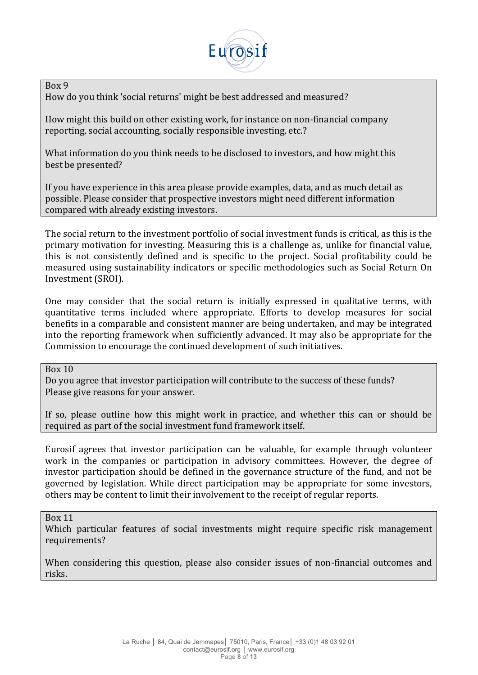

Box!9

How do you think 'social returns' might be best addressed and measured?

How might this build on other existing work, for instance on non-financial company reporting, social accounting, socially responsible investing, etc.?

What information do you think needs to be disclosed to investors, and how might this best be presented?

If you have experience in this area please provide examples, data, and as much detail as possible. Please consider that prospective investors might need different information compared with already existing investors.

The social return to the investment portfolio of social investment funds is critical, as this is the primary motivation for investing. Measuring this is a challenge as, unlike for financial value, this is not consistently defined and is specific to the project. Social profitability could be measured using sustainability indicators or specific methodologies such as Social Return On Investment (SROI).

One may consider that the social return is initially expressed in qualitative terms, with quantitative terms included where appropriate. Efforts to develop measures for social benefits in a comparable and consistent manner are being undertaken, and may be integrated into the reporting framework when sufficiently advanced. It may also be appropriate for the Commission to encourage the continued development of such initiatives.

Box!10

Do you agree that investor participation will contribute to the success of these funds? Please give reasons for your answer.

If so, please outline how this might work in practice, and whether this can or should be required as part of the social investment fund framework itself.

Eurosif agrees that investor participation can be valuable, for example through volunteer work in the companies or participation in advisory committees. However, the degree of investor participation should be defined in the governance structure of the fund, and not be governed by legislation. While direct participation may be appropriate for some investors, others may be content to limit their involvement to the receipt of regular reports.

Box!11

Which particular features of social investments might require specific risk management requirements?

When considering this question, please also consider issues of non-financial outcomes and risks.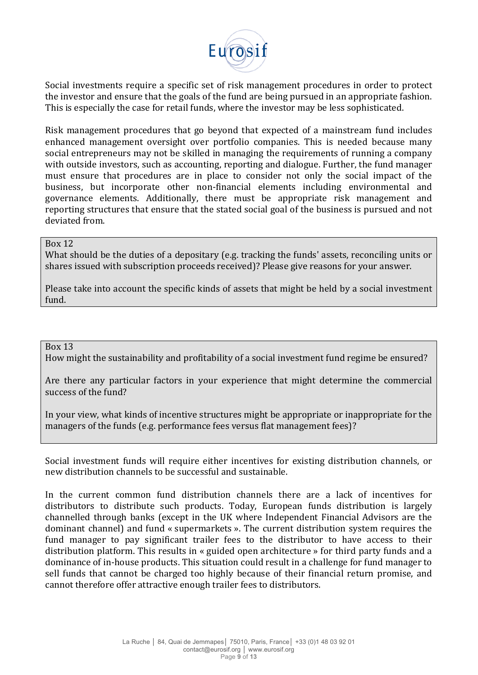

Social investments require a specific set of risk management procedures in order to protect the investor and ensure that the goals of the fund are being pursued in an appropriate fashion. This is especially the case for retail funds, where the investor may be less sophisticated.

Risk management procedures that go beyond that expected of a mainstream fund includes enhanced management oversight over portfolio companies. This is needed because many social entrepreneurs may not be skilled in managing the requirements of running a company with outside investors, such as accounting, reporting and dialogue. Further, the fund manager must ensure that procedures are in place to consider not only the social impact of the business, but incorporate other non-financial elements including environmental and governance elements. Additionally, there must be appropriate risk management and reporting structures that ensure that the stated social goal of the business is pursued and not deviated from.

## Box!12

What should be the duties of a depositary (e.g. tracking the funds' assets, reconciling units or shares issued with subscription proceeds received)? Please give reasons for your answer.

Please take into account the specific kinds of assets that might be held by a social investment fund.

#### Box!13

How might the sustainability and profitability of a social investment fund regime be ensured?

Are there any particular factors in your experience that might determine the commercial success of the fund?

In your view, what kinds of incentive structures might be appropriate or inappropriate for the managers of the funds (e.g. performance fees versus flat management fees)?

Social investment funds will require either incentives for existing distribution channels, or new distribution channels to be successful and sustainable.

In the current common fund distribution channels there are a lack of incentives for distributors to distribute such products. Today, European funds distribution is largely channelled through banks (except in the UK where Independent Financial Advisors are the dominant channel) and fund « supermarkets ». The current distribution system requires the fund manager to pay significant trailer fees to the distributor to have access to their distribution platform. This results in « guided open architecture » for third party funds and a dominance of in-house products. This situation could result in a challenge for fund manager to sell funds that cannot be charged too highly because of their financial return promise, and cannot therefore offer attractive enough trailer fees to distributors.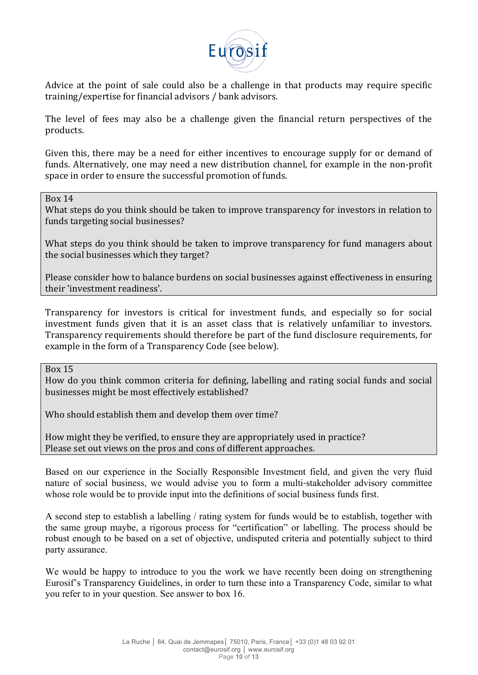

Advice at the point of sale could also be a challenge in that products may require specific training/expertise for financial advisors / bank advisors.

The level of fees may also be a challenge given the financial return perspectives of the products.

Given this, there may be a need for either incentives to encourage supply for or demand of funds. Alternatively, one may need a new distribution channel, for example in the non-profit space in order to ensure the successful promotion of funds.

Box!14

What steps do you think should be taken to improve transparency for investors in relation to funds targeting social businesses?

What steps do you think should be taken to improve transparency for fund managers about the social businesses which they target?

Please consider how to balance burdens on social businesses against effectiveness in ensuring their 'investment readiness'.

Transparency for investors is critical for investment funds, and especially so for social investment funds given that it is an asset class that is relatively unfamiliar to investors. Transparency requirements should therefore be part of the fund disclosure requirements, for example in the form of a Transparency Code (see below).

Box!15

How do you think common criteria for defining, labelling and rating social funds and social businesses might be most effectively established?

Who should establish them and develop them over time?

How might they be verified, to ensure they are appropriately used in practice? Please set out views on the pros and cons of different approaches.

Based on our experience in the Socially Responsible Investment field, and given the very fluid nature of social business, we would advise you to form a multi‐stakeholder advisory committee whose role would be to provide input into the definitions of social business funds first.

A second step to establish a labelling / rating system for funds would be to establish, together with the same group maybe, a rigorous process for "certification" or labelling. The process should be robust enough to be based on a set of objective, undisputed criteria and potentially subject to third party assurance.

We would be happy to introduce to you the work we have recently been doing on strengthening Eurosif's Transparency Guidelines, in order to turn these into a Transparency Code, similar to what you refer to in your question. See answer to box 16.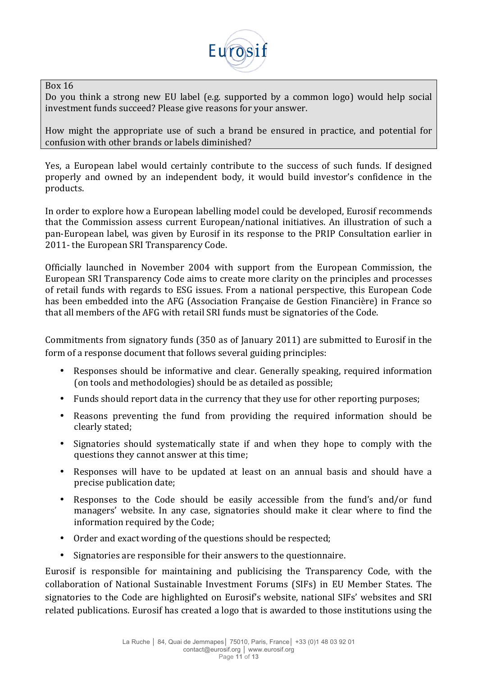

### Box!16

Do you think a strong new EU label (e.g. supported by a common logo) would help social investment funds succeed? Please give reasons for your answer.

How might the appropriate use of such a brand be ensured in practice, and potential for confusion with other brands or labels diminished?

Yes, a European label would certainly contribute to the success of such funds. If designed properly and owned by an independent body, it would build investor's confidence in the products.

In order to explore how a European labelling model could be developed. Eurosif recommends that the Commission assess current European/national initiatives. An illustration of such a pan-European label, was given by Eurosif in its response to the PRIP Consultation earlier in 2011- the European SRI Transparency Code.

Officially launched in November 2004 with support from the European Commission, the European SRI Transparency Code aims to create more clarity on the principles and processes of retail funds with regards to ESG issues. From a national perspective, this European Code has been embedded into the AFG (Association Française de Gestion Financière) in France so that all members of the AFG with retail SRI funds must be signatories of the Code.

Commitments from signatory funds (350 as of January 2011) are submitted to Eurosif in the form of a response document that follows several guiding principles:

- Responses should be informative and clear. Generally speaking, required information (on tools and methodologies) should be as detailed as possible;
- Funds should report data in the currency that they use for other reporting purposes;
- Reasons preventing the fund from providing the required information should be clearly stated;
- Signatories should systematically state if and when they hope to comply with the questions they cannot answer at this time;
- Responses will have to be updated at least on an annual basis and should have a precise publication date;
- Responses to the Code should be easily accessible from the fund's and/or fund managers' website. In any case, signatories should make it clear where to find the information required by the Code;
- Order and exact wording of the questions should be respected;
- Signatories are responsible for their answers to the questionnaire.

Eurosif is responsible for maintaining and publicising the Transparency Code, with the collaboration of National Sustainable Investment Forums (SIFs) in EU Member States. The signatories to the Code are highlighted on Eurosif's website, national SIFs' websites and SRI related publications. Eurosif has created a logo that is awarded to those institutions using the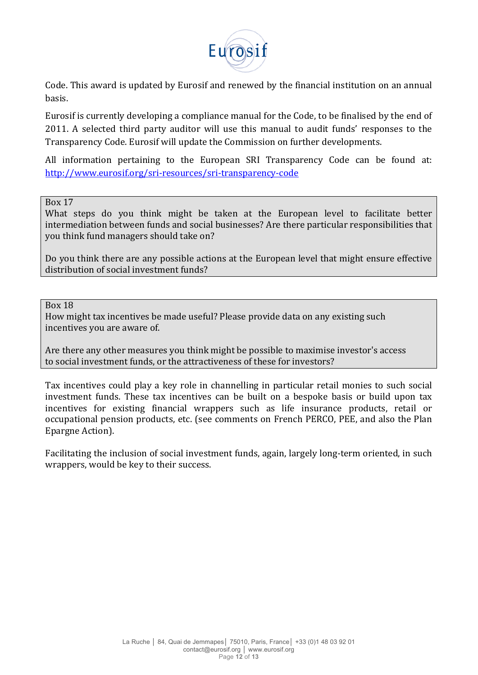

Code. This award is updated by Eurosif and renewed by the financial institution on an annual basis.

Eurosif is currently developing a compliance manual for the Code, to be finalised by the end of 2011. A selected third party auditor will use this manual to audit funds' responses to the Transparency Code. Eurosif will update the Commission on further developments.

All information pertaining to the European SRI Transparency Code can be found at: http://www.eurosif.org/sri-resources/sri-transparency-code

Box!17

What steps do you think might be taken at the European level to facilitate better intermediation between funds and social businesses? Are there particular responsibilities that you think fund managers should take on?

Do you think there are any possible actions at the European level that might ensure effective distribution of social investment funds?

#### Box!18

How might tax incentives be made useful? Please provide data on any existing such incentives you are aware of.

Are there any other measures you think might be possible to maximise investor's access to social investment funds, or the attractiveness of these for investors?

Tax incentives could play a key role in channelling in particular retail monies to such social investment funds. These tax incentives can be built on a bespoke basis or build upon tax incentives for existing financial wrappers such as life insurance products, retail or occupational pension products, etc. (see comments on French PERCO, PEE, and also the Plan Epargne Action).

Facilitating the inclusion of social investment funds, again, largely long-term oriented, in such wrappers, would be key to their success.